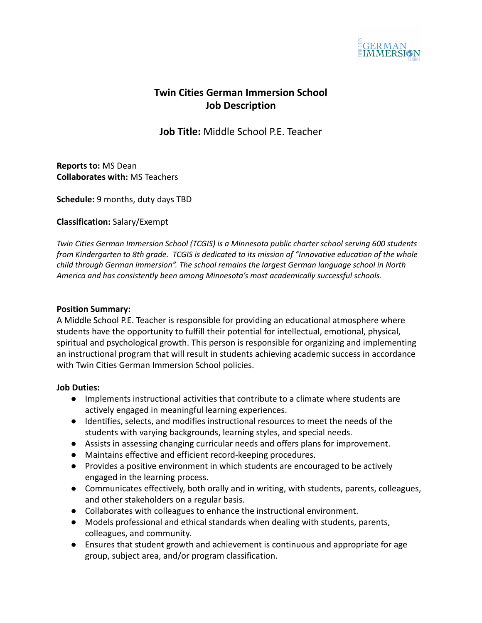

# **Twin Cities German Immersion School Job Description**

**Job Title:** Middle School P.E. Teacher

**Reports to:** MS Dean **Collaborates with:** MS Teachers

**Schedule:** 9 months, duty days TBD

**Classification:** Salary/Exempt

*Twin Cities German Immersion School (TCGIS) is a Minnesota public charter school serving 600 students from Kindergarten to 8th grade. TCGIS is dedicated to its mission of "Innovative education of the whole child through German immersion". The school remains the largest German language school in North America and has consistently been among Minnesota's most academically successful schools.*

### **Position Summary:**

A Middle School P.E. Teacher is responsible for providing an educational atmosphere where students have the opportunity to fulfill their potential for intellectual, emotional, physical, spiritual and psychological growth. This person is responsible for organizing and implementing an instructional program that will result in students achieving academic success in accordance with Twin Cities German Immersion School policies.

### **Job Duties:**

- Implements instructional activities that contribute to a climate where students are actively engaged in meaningful learning experiences.
- Identifies, selects, and modifies instructional resources to meet the needs of the students with varying backgrounds, learning styles, and special needs.
- Assists in assessing changing curricular needs and offers plans for improvement.
- Maintains effective and efficient record-keeping procedures.
- Provides a positive environment in which students are encouraged to be actively engaged in the learning process.
- Communicates effectively, both orally and in writing, with students, parents, colleagues, and other stakeholders on a regular basis.
- Collaborates with colleagues to enhance the instructional environment.
- Models professional and ethical standards when dealing with students, parents, colleagues, and community.
- Ensures that student growth and achievement is continuous and appropriate for age group, subject area, and/or program classification.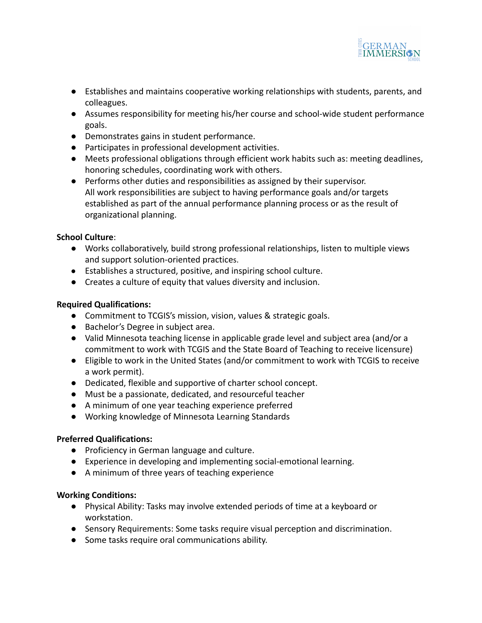

- Establishes and maintains cooperative working relationships with students, parents, and colleagues.
- Assumes responsibility for meeting his/her course and school-wide student performance goals.
- Demonstrates gains in student performance.
- Participates in professional development activities.
- Meets professional obligations through efficient work habits such as: meeting deadlines, honoring schedules, coordinating work with others.
- Performs other duties and responsibilities as assigned by their supervisor. All work responsibilities are subject to having performance goals and/or targets established as part of the annual performance planning process or as the result of organizational planning.

# **School Culture**:

- **●** Works collaboratively, build strong professional relationships, listen to multiple views and support solution-oriented practices.
- Establishes a structured, positive, and inspiring school culture.
- Creates a culture of equity that values diversity and inclusion.

# **Required Qualifications:**

- Commitment to TCGIS's mission, vision, values & strategic goals.
- Bachelor's Degree in subject area.
- Valid Minnesota teaching license in applicable grade level and subject area (and/or a commitment to work with TCGIS and the State Board of Teaching to receive licensure)
- Eligible to work in the United States (and/or commitment to work with TCGIS to receive a work permit).
- Dedicated, flexible and supportive of charter school concept.
- Must be a passionate, dedicated, and resourceful teacher
- A minimum of one year teaching experience preferred
- Working knowledge of Minnesota Learning Standards

# **Preferred Qualifications:**

- **●** Proficiency in German language and culture.
- Experience in developing and implementing social-emotional learning.
- A minimum of three years of teaching experience

# **Working Conditions:**

- Physical Ability: Tasks may involve extended periods of time at a keyboard or workstation.
- Sensory Requirements: Some tasks require visual perception and discrimination.
- Some tasks require oral communications ability.